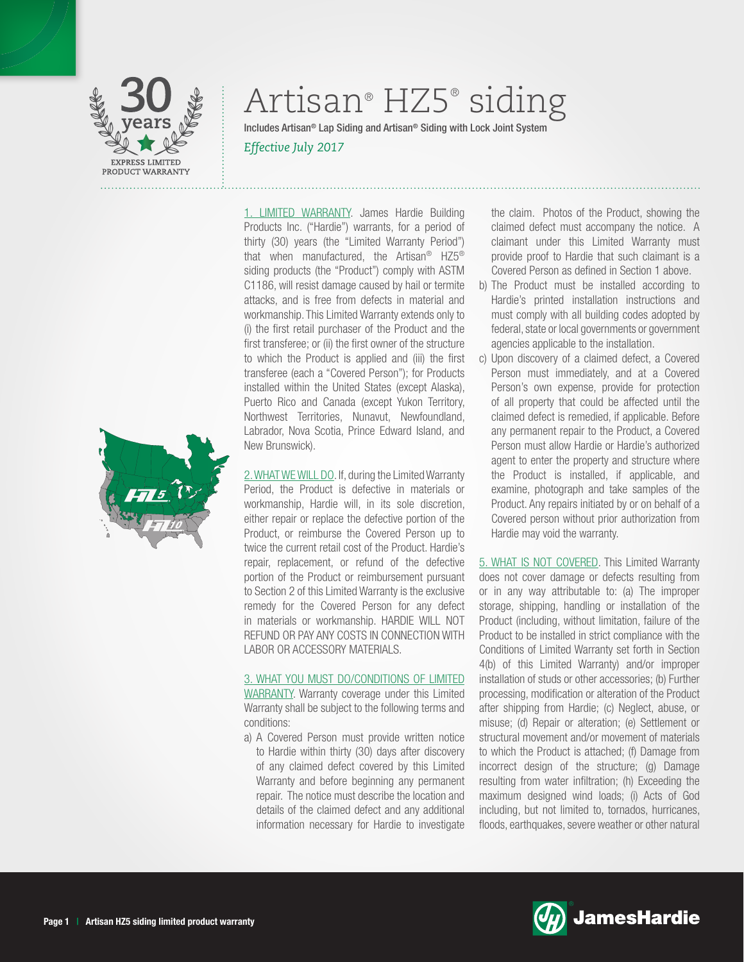

# Artisan® HZ5® siding

Includes Artisan® Lap Siding and Artisan® Siding with Lock Joint System *Effective July 2017*

1. LIMITED WARRANTY. James Hardie Building Products Inc. ("Hardie") warrants, for a period of thirty (30) years (the "Limited Warranty Period") that when manufactured, the Artisan® HZ5® siding products (the "Product") comply with ASTM C1186, will resist damage caused by hail or termite attacks, and is free from defects in material and workmanship. This Limited Warranty extends only to (i) the first retail purchaser of the Product and the first transferee; or (ii) the first owner of the structure to which the Product is applied and (iii) the first transferee (each a "Covered Person"); for Products installed within the United States (except Alaska), Puerto Rico and Canada (except Yukon Territory, Northwest Territories, Nunavut, Newfoundland, Labrador, Nova Scotia, Prince Edward Island, and New Brunswick).

2. WHAT WE WILL DO. If, during the Limited Warranty Period, the Product is defective in materials or workmanship, Hardie will, in its sole discretion, either repair or replace the defective portion of the Product, or reimburse the Covered Person up to twice the current retail cost of the Product. Hardie's repair, replacement, or refund of the defective portion of the Product or reimbursement pursuant to Section 2 of this Limited Warranty is the exclusive remedy for the Covered Person for any defect in materials or workmanship. HARDIE WILL NOT REFUND OR PAY ANY COSTS IN CONNECTION WITH LABOR OR ACCESSORY MATERIALS.

#### 3. WHAT YOU MUST DO/CONDITIONS OF LIMITED

WARRANTY. Warranty coverage under this Limited Warranty shall be subject to the following terms and conditions:

a) A Covered Person must provide written notice to Hardie within thirty (30) days after discovery of any claimed defect covered by this Limited Warranty and before beginning any permanent repair. The notice must describe the location and details of the claimed defect and any additional information necessary for Hardie to investigate the claim. Photos of the Product, showing the claimed defect must accompany the notice. A claimant under this Limited Warranty must provide proof to Hardie that such claimant is a Covered Person as defined in Section 1 above.

- b) The Product must be installed according to Hardie's printed installation instructions and must comply with all building codes adopted by federal, state or local governments or government agencies applicable to the installation.
- c) Upon discovery of a claimed defect, a Covered Person must immediately, and at a Covered Person's own expense, provide for protection of all property that could be affected until the claimed defect is remedied, if applicable. Before any permanent repair to the Product, a Covered Person must allow Hardie or Hardie's authorized agent to enter the property and structure where the Product is installed, if applicable, and examine, photograph and take samples of the Product. Any repairs initiated by or on behalf of a Covered person without prior authorization from Hardie may void the warranty.

5. WHAT IS NOT COVERED. This Limited Warranty does not cover damage or defects resulting from or in any way attributable to: (a) The improper storage, shipping, handling or installation of the Product (including, without limitation, failure of the Product to be installed in strict compliance with the Conditions of Limited Warranty set forth in Section 4(b) of this Limited Warranty) and/or improper installation of studs or other accessories; (b) Further processing, modification or alteration of the Product after shipping from Hardie; (c) Neglect, abuse, or misuse; (d) Repair or alteration; (e) Settlement or structural movement and/or movement of materials to which the Product is attached; (f) Damage from incorrect design of the structure; (g) Damage resulting from water infiltration; (h) Exceeding the maximum designed wind loads; (i) Acts of God including, but not limited to, tornados, hurricanes, floods, earthquakes, severe weather or other natural